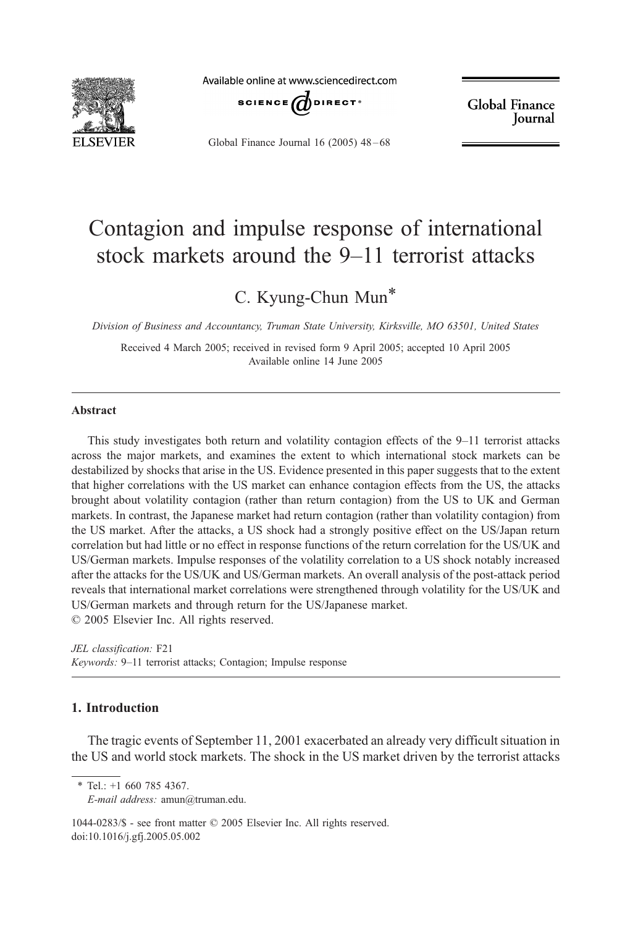

Available online at www.sciencedirect.com



**Global Finance** Journal

Global Finance Journal 16 (2005) 48 – 68

## Contagion and impulse response of international stock markets around the 9–11 terrorist attacks

### C. Kyung-Chun Mun\*

Division of Business and Accountancy, Truman State University, Kirksville, MO 63501, United States

Received 4 March 2005; received in revised form 9 April 2005; accepted 10 April 2005 Available online 14 June 2005

#### Abstract

This study investigates both return and volatility contagion effects of the 9–11 terrorist attacks across the major markets, and examines the extent to which international stock markets can be destabilized by shocks that arise in the US. Evidence presented in this paper suggests that to the extent that higher correlations with the US market can enhance contagion effects from the US, the attacks brought about volatility contagion (rather than return contagion) from the US to UK and German markets. In contrast, the Japanese market had return contagion (rather than volatility contagion) from the US market. After the attacks, a US shock had a strongly positive effect on the US/Japan return correlation but had little or no effect in response functions of the return correlation for the US/UK and US/German markets. Impulse responses of the volatility correlation to a US shock notably increased after the attacks for the US/UK and US/German markets. An overall analysis of the post-attack period reveals that international market correlations were strengthened through volatility for the US/UK and US/German markets and through return for the US/Japanese market.  $© 2005 Elsevier Inc. All rights reserved.$ 

JEL classification: F21 Keywords: 9–11 terrorist attacks; Contagion; Impulse response

### 1. Introduction

The tragic events of September 11, 2001 exacerbated an already very difficult situation in the US and world stock markets. The shock in the US market driven by the terrorist attacks

1044-0283/\$ - see front matter © 2005 Elsevier Inc. All rights reserved. doi:10.1016/j.gfj.2005.05.002

<sup>\*</sup> Tel.: +1 660 785 4367.

E-mail address: amun@truman.edu.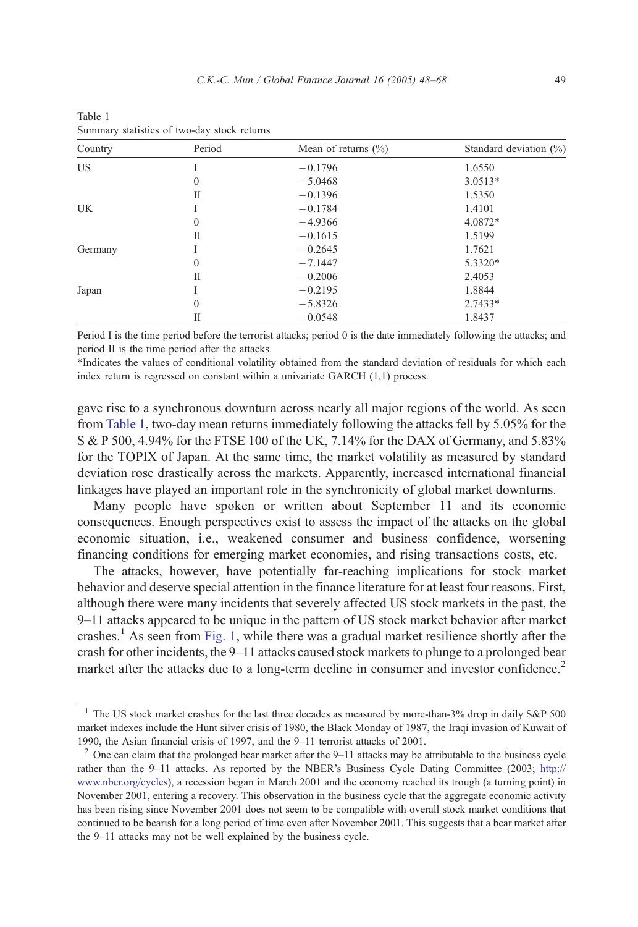| Country   | Period       | Mean of returns $(\% )$ | Standard deviation (%) |
|-----------|--------------|-------------------------|------------------------|
| <b>US</b> |              | $-0.1796$               | 1.6550                 |
|           | 0            | $-5.0468$               | $3.0513*$              |
|           | П            | $-0.1396$               | 1.5350                 |
| UK        |              | $-0.1784$               | 1.4101                 |
|           | $\mathbf{0}$ | $-4.9366$               | 4.0872*                |
|           | П            | $-0.1615$               | 1.5199                 |
| Germany   |              | $-0.2645$               | 1.7621                 |
|           | $\mathbf{0}$ | $-7.1447$               | 5.3320*                |
|           | П            | $-0.2006$               | 2.4053                 |
| Japan     |              | $-0.2195$               | 1.8844                 |
|           | $\mathbf{0}$ | $-5.8326$               | $2.7433*$              |
|           | П            | $-0.0548$               | 1.8437                 |

Table 1 Summary statistics of two-day stock returns

Period I is the time period before the terrorist attacks; period 0 is the date immediately following the attacks; and period II is the time period after the attacks.

\*Indicates the values of conditional volatility obtained from the standard deviation of residuals for which each index return is regressed on constant within a univariate GARCH (1,1) process.

gave rise to a synchronous downturn across nearly all major regions of the world. As seen from Table 1, two-day mean returns immediately following the attacks fell by 5.05% for the S & P 500, 4.94% for the FTSE 100 of the UK, 7.14% for the DAX of Germany, and 5.83% for the TOPIX of Japan. At the same time, the market volatility as measured by standard deviation rose drastically across the markets. Apparently, increased international financial linkages have played an important role in the synchronicity of global market downturns.

Many people have spoken or written about September 11 and its economic consequences. Enough perspectives exist to assess the impact of the attacks on the global economic situation, i.e., weakened consumer and business confidence, worsening financing conditions for emerging market economies, and rising transactions costs, etc.

The attacks, however, have potentially far-reaching implications for stock market behavior and deserve special attention in the finance literature for at least four reasons. First, although there were many incidents that severely affected US stock markets in the past, the 9–11 attacks appeared to be unique in the pattern of US stock market behavior after market crashes.<sup>1</sup> As seen from [Fig. 1,](#page--1-0) while there was a gradual market resilience shortly after the crash for other incidents, the 9–11 attacks caused stock markets to plunge to a prolonged bear market after the attacks due to a long-term decline in consumer and investor confidence.<sup>2</sup>

 $1$  The US stock market crashes for the last three decades as measured by more-than-3% drop in daily S&P 500 market indexes include the Hunt silver crisis of 1980, the Black Monday of 1987, the Iraqi invasion of Kuwait of 1990, the Asian financial crisis of 1997, and the 9–11 terrorist attacks of 2001.

<sup>&</sup>lt;sup>2</sup> One can claim that the prolonged bear market after the  $9-11$  attacks may be attributable to the business cycle rather than the 9–11 attacks. As reported by the NBER's Business Cycle Dating Committee (2003; [http://](http://www.nber.org/cycles) www.nber.org/cycles), a recession began in March 2001 and the economy reached its trough (a turning point) in November 2001, entering a recovery. This observation in the business cycle that the aggregate economic activity has been rising since November 2001 does not seem to be compatible with overall stock market conditions that continued to be bearish for a long period of time even after November 2001. This suggests that a bear market after the 9–11 attacks may not be well explained by the business cycle.